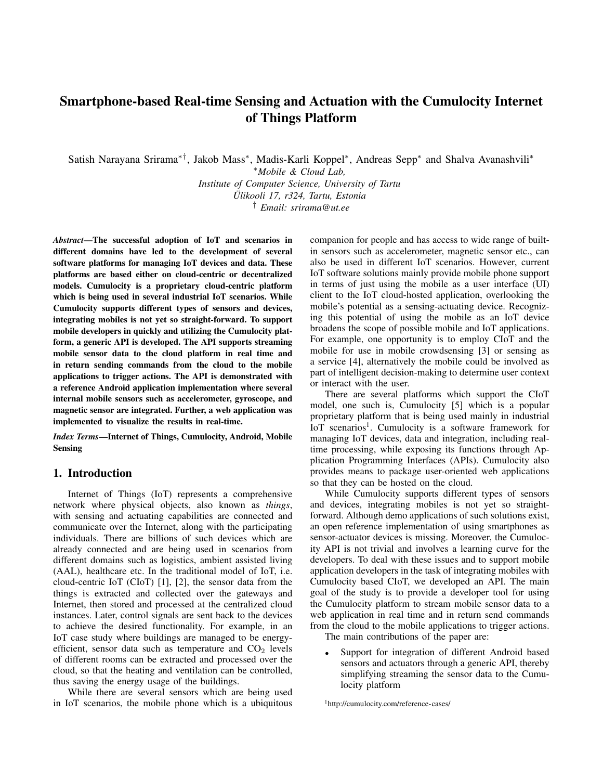# Smartphone-based Real-time Sensing and Actuation with the Cumulocity Internet of Things Platform

Satish Narayana Srirama∗†, Jakob Mass<sup>∗</sup> , Madis-Karli Koppel<sup>∗</sup> , Andreas Sepp<sup>∗</sup> and Shalva Avanashvili<sup>∗</sup>

<sup>∗</sup>*Mobile & Cloud Lab, Institute of Computer Science, University of Tartu*

*Ulikooli 17, r324, Tartu, Estonia ¨*

† *Email: srirama@ut.ee*

*Abstract*—The successful adoption of IoT and scenarios in different domains have led to the development of several software platforms for managing IoT devices and data. These platforms are based either on cloud-centric or decentralized models. Cumulocity is a proprietary cloud-centric platform which is being used in several industrial IoT scenarios. While Cumulocity supports different types of sensors and devices, integrating mobiles is not yet so straight-forward. To support mobile developers in quickly and utilizing the Cumulocity platform, a generic API is developed. The API supports streaming mobile sensor data to the cloud platform in real time and in return sending commands from the cloud to the mobile applications to trigger actions. The API is demonstrated with a reference Android application implementation where several internal mobile sensors such as accelerometer, gyroscope, and magnetic sensor are integrated. Further, a web application was implemented to visualize the results in real-time.

*Index Terms*—Internet of Things, Cumulocity, Android, Mobile Sensing

## 1. Introduction

Internet of Things (IoT) represents a comprehensive network where physical objects, also known as *things*, with sensing and actuating capabilities are connected and communicate over the Internet, along with the participating individuals. There are billions of such devices which are already connected and are being used in scenarios from different domains such as logistics, ambient assisted living (AAL), healthcare etc. In the traditional model of IoT, i.e. cloud-centric IoT (CIoT) [1], [2], the sensor data from the things is extracted and collected over the gateways and Internet, then stored and processed at the centralized cloud instances. Later, control signals are sent back to the devices to achieve the desired functionality. For example, in an IoT case study where buildings are managed to be energyefficient, sensor data such as temperature and  $CO<sub>2</sub>$  levels of different rooms can be extracted and processed over the cloud, so that the heating and ventilation can be controlled, thus saving the energy usage of the buildings.

While there are several sensors which are being used in IoT scenarios, the mobile phone which is a ubiquitous companion for people and has access to wide range of builtin sensors such as accelerometer, magnetic sensor etc., can also be used in different IoT scenarios. However, current IoT software solutions mainly provide mobile phone support in terms of just using the mobile as a user interface (UI) client to the IoT cloud-hosted application, overlooking the mobile's potential as a sensing-actuating device. Recognizing this potential of using the mobile as an IoT device broadens the scope of possible mobile and IoT applications. For example, one opportunity is to employ CIoT and the mobile for use in mobile crowdsensing [3] or sensing as a service [4], alternatively the mobile could be involved as part of intelligent decision-making to determine user context or interact with the user.

There are several platforms which support the CIoT model, one such is, Cumulocity [5] which is a popular proprietary platform that is being used mainly in industrial IoT scenarios<sup>1</sup>. Cumulocity is a software framework for managing IoT devices, data and integration, including realtime processing, while exposing its functions through Application Programming Interfaces (APIs). Cumulocity also provides means to package user-oriented web applications so that they can be hosted on the cloud.

While Cumulocity supports different types of sensors and devices, integrating mobiles is not yet so straightforward. Although demo applications of such solutions exist, an open reference implementation of using smartphones as sensor-actuator devices is missing. Moreover, the Cumulocity API is not trivial and involves a learning curve for the developers. To deal with these issues and to support mobile application developers in the task of integrating mobiles with Cumulocity based CIoT, we developed an API. The main goal of the study is to provide a developer tool for using the Cumulocity platform to stream mobile sensor data to a web application in real time and in return send commands from the cloud to the mobile applications to trigger actions.

The main contributions of the paper are:

Support for integration of different Android based sensors and actuators through a generic API, thereby simplifying streaming the sensor data to the Cumulocity platform

<sup>1</sup>http://cumulocity.com/reference-cases/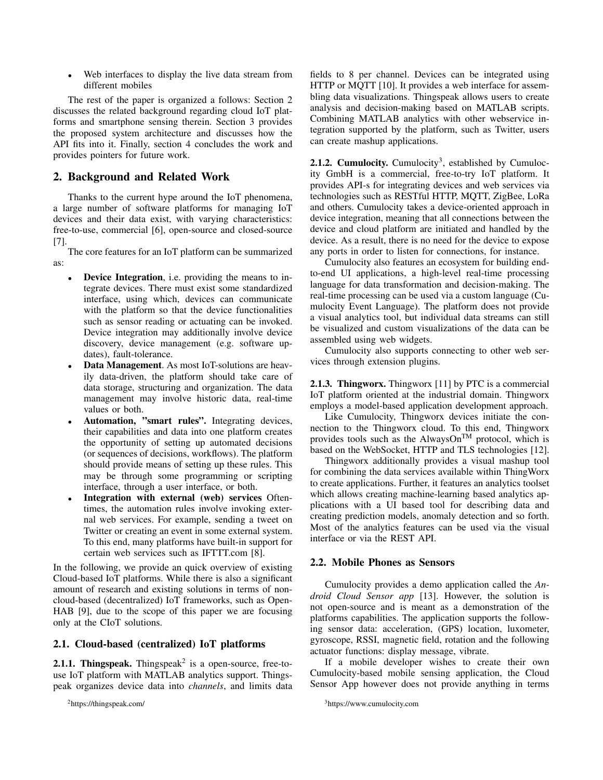Web interfaces to display the live data stream from different mobiles

The rest of the paper is organized a follows: Section 2 discusses the related background regarding cloud IoT platforms and smartphone sensing therein. Section 3 provides the proposed system architecture and discusses how the API fits into it. Finally, section 4 concludes the work and provides pointers for future work.

## 2. Background and Related Work

Thanks to the current hype around the IoT phenomena, a large number of software platforms for managing IoT devices and their data exist, with varying characteristics: free-to-use, commercial [6], open-source and closed-source [7].

The core features for an IoT platform can be summarized as:

- **Device Integration**, i.e. providing the means to integrate devices. There must exist some standardized interface, using which, devices can communicate with the platform so that the device functionalities such as sensor reading or actuating can be invoked. Device integration may additionally involve device discovery, device management (e.g. software updates), fault-tolerance.
- Data Management. As most IoT-solutions are heavily data-driven, the platform should take care of data storage, structuring and organization. The data management may involve historic data, real-time values or both.
- Automation, "smart rules". Integrating devices, their capabilities and data into one platform creates the opportunity of setting up automated decisions (or sequences of decisions, workflows). The platform should provide means of setting up these rules. This may be through some programming or scripting interface, through a user interface, or both.
- Integration with external (web) services Oftentimes, the automation rules involve invoking external web services. For example, sending a tweet on Twitter or creating an event in some external system. To this end, many platforms have built-in support for certain web services such as IFTTT.com [8].

In the following, we provide an quick overview of existing Cloud-based IoT platforms. While there is also a significant amount of research and existing solutions in terms of noncloud-based (decentralized) IoT frameworks, such as Open-HAB [9], due to the scope of this paper we are focusing only at the CIoT solutions.

## 2.1. Cloud-based (centralized) IoT platforms

**2.1.1. Thingspeak.** Thingspeak<sup>2</sup> is a open-source, free-touse IoT platform with MATLAB analytics support. Thingspeak organizes device data into *channels*, and limits data

<sup>2</sup>https://thingspeak.com/

fields to 8 per channel. Devices can be integrated using HTTP or MOTT [10]. It provides a web interface for assembling data visualizations. Thingspeak allows users to create analysis and decision-making based on MATLAB scripts. Combining MATLAB analytics with other webservice integration supported by the platform, such as Twitter, users can create mashup applications.

**2.1.2. Cumulocity.** Cumulocity<sup>3</sup>, established by Cumulocity GmbH is a commercial, free-to-try IoT platform. It provides API-s for integrating devices and web services via technologies such as RESTful HTTP, MQTT, ZigBee, LoRa and others. Cumulocity takes a device-oriented approach in device integration, meaning that all connections between the device and cloud platform are initiated and handled by the device. As a result, there is no need for the device to expose any ports in order to listen for connections, for instance.

Cumulocity also features an ecosystem for building endto-end UI applications, a high-level real-time processing language for data transformation and decision-making. The real-time processing can be used via a custom language (Cumulocity Event Language). The platform does not provide a visual analytics tool, but individual data streams can still be visualized and custom visualizations of the data can be assembled using web widgets.

Cumulocity also supports connecting to other web services through extension plugins.

2.1.3. Thingworx. Thingworx [11] by PTC is a commercial IoT platform oriented at the industrial domain. Thingworx employs a model-based application development approach.

Like Cumulocity, Thingworx devices initiate the connection to the Thingworx cloud. To this end, Thingworx provides tools such as the AlwaysOn<sup>TM</sup> protocol, which is based on the WebSocket, HTTP and TLS technologies [12].

Thingworx additionally provides a visual mashup tool for combining the data services available within ThingWorx to create applications. Further, it features an analytics toolset which allows creating machine-learning based analytics applications with a UI based tool for describing data and creating prediction models, anomaly detection and so forth. Most of the analytics features can be used via the visual interface or via the REST API.

### 2.2. Mobile Phones as Sensors

Cumulocity provides a demo application called the *Android Cloud Sensor app* [13]. However, the solution is not open-source and is meant as a demonstration of the platforms capabilities. The application supports the following sensor data: acceleration, (GPS) location, luxometer, gyroscope, RSSI, magnetic field, rotation and the following actuator functions: display message, vibrate.

If a mobile developer wishes to create their own Cumulocity-based mobile sensing application, the Cloud Sensor App however does not provide anything in terms

<sup>3</sup>https://www.cumulocity.com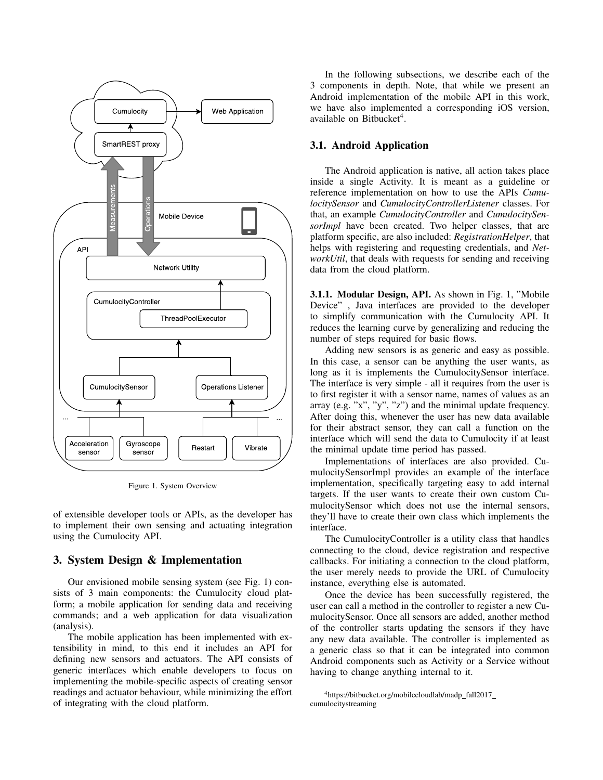

Figure 1. System Overview

of extensible developer tools or APIs, as the developer has to implement their own sensing and actuating integration using the Cumulocity API.

## 3. System Design & Implementation

Our envisioned mobile sensing system (see Fig. 1) consists of 3 main components: the Cumulocity cloud platform; a mobile application for sending data and receiving commands; and a web application for data visualization (analysis).

The mobile application has been implemented with extensibility in mind, to this end it includes an API for defining new sensors and actuators. The API consists of generic interfaces which enable developers to focus on implementing the mobile-specific aspects of creating sensor readings and actuator behaviour, while minimizing the effort of integrating with the cloud platform.

In the following subsections, we describe each of the 3 components in depth. Note, that while we present an Android implementation of the mobile API in this work, we have also implemented a corresponding iOS version, available on Bitbucket<sup>4</sup>.

## 3.1. Android Application

The Android application is native, all action takes place inside a single Activity. It is meant as a guideline or reference implementation on how to use the APIs *CumulocitySensor* and *CumulocityControllerListener* classes. For that, an example *CumulocityController* and *CumulocitySensorImpl* have been created. Two helper classes, that are platform specific, are also included: *RegistrationHelper*, that helps with registering and requesting credentials, and *NetworkUtil*, that deals with requests for sending and receiving data from the cloud platform.

3.1.1. Modular Design, API. As shown in Fig. 1, "Mobile Device" , Java interfaces are provided to the developer to simplify communication with the Cumulocity API. It reduces the learning curve by generalizing and reducing the number of steps required for basic flows.

Adding new sensors is as generic and easy as possible. In this case, a sensor can be anything the user wants, as long as it is implements the CumulocitySensor interface. The interface is very simple - all it requires from the user is to first register it with a sensor name, names of values as an array (e.g. "x", "y", "z") and the minimal update frequency. After doing this, whenever the user has new data available for their abstract sensor, they can call a function on the interface which will send the data to Cumulocity if at least the minimal update time period has passed.

Implementations of interfaces are also provided. CumulocitySensorImpl provides an example of the interface implementation, specifically targeting easy to add internal targets. If the user wants to create their own custom CumulocitySensor which does not use the internal sensors, they'll have to create their own class which implements the interface.

The CumulocityController is a utility class that handles connecting to the cloud, device registration and respective callbacks. For initiating a connection to the cloud platform, the user merely needs to provide the URL of Cumulocity instance, everything else is automated.

Once the device has been successfully registered, the user can call a method in the controller to register a new CumulocitySensor. Once all sensors are added, another method of the controller starts updating the sensors if they have any new data available. The controller is implemented as a generic class so that it can be integrated into common Android components such as Activity or a Service without having to change anything internal to it.

<sup>&</sup>lt;sup>4</sup>https://bitbucket.org/mobilecloudlab/madp\_fall2017\_ cumulocitystreaming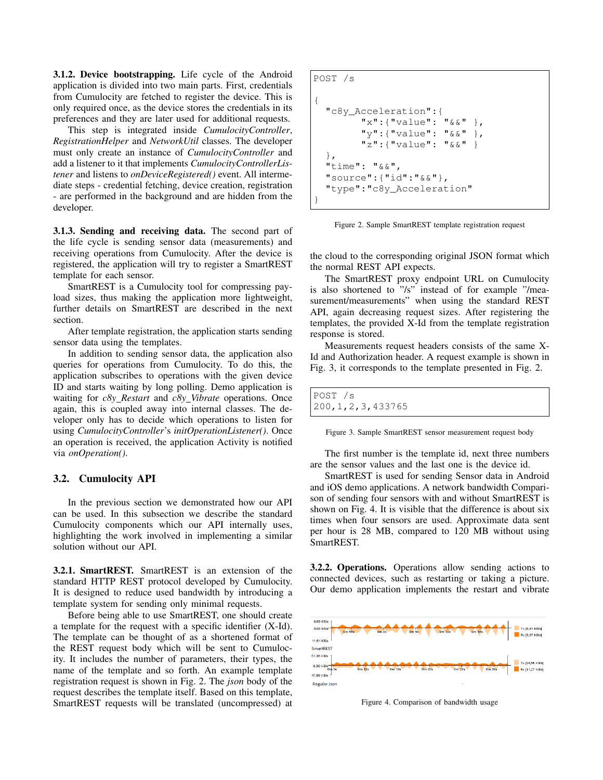3.1.2. Device bootstrapping. Life cycle of the Android application is divided into two main parts. First, credentials from Cumulocity are fetched to register the device. This is only required once, as the device stores the credentials in its preferences and they are later used for additional requests.

This step is integrated inside *CumulocityController*, *RegistrationHelper* and *NetworkUtil* classes. The developer must only create an instance of *CumulocityController* and add a listener to it that implements *CumulocityControllerListener* and listens to *onDeviceRegistered()* event. All intermediate steps - credential fetching, device creation, registration - are performed in the background and are hidden from the developer.

3.1.3. Sending and receiving data. The second part of the life cycle is sending sensor data (measurements) and receiving operations from Cumulocity. After the device is registered, the application will try to register a SmartREST template for each sensor.

SmartREST is a Cumulocity tool for compressing payload sizes, thus making the application more lightweight, further details on SmartREST are described in the next section.

After template registration, the application starts sending sensor data using the templates.

In addition to sending sensor data, the application also queries for operations from Cumulocity. To do this, the application subscribes to operations with the given device ID and starts waiting by long polling. Demo application is waiting for *c8y Restart* and *c8y Vibrate* operations. Once again, this is coupled away into internal classes. The developer only has to decide which operations to listen for using *CumulocityController*'s *initOperationListener()*. Once an operation is received, the application Activity is notified via *onOperation()*.

#### 3.2. Cumulocity API

In the previous section we demonstrated how our API can be used. In this subsection we describe the standard Cumulocity components which our API internally uses, highlighting the work involved in implementing a similar solution without our API.

3.2.1. SmartREST. SmartREST is an extension of the standard HTTP REST protocol developed by Cumulocity. It is designed to reduce used bandwidth by introducing a template system for sending only minimal requests.

Before being able to use SmartREST, one should create a template for the request with a specific identifier (X-Id). The template can be thought of as a shortened format of the REST request body which will be sent to Cumulocity. It includes the number of parameters, their types, the name of the template and so forth. An example template registration request is shown in Fig. 2. The *json* body of the request describes the template itself. Based on this template, SmartREST requests will be translated (uncompressed) at

```
POST /s
{
  "c8y_Acceleration":{
        "x":{"value": "&&" },
        "y":{"value": "&&" },
        "z":{"value": "&&" }
  },
  "time": "&&",
  "source":{"id":"&&"},
  "type":"c8y_Acceleration"
}
```
Figure 2. Sample SmartREST template registration request

the cloud to the corresponding original JSON format which the normal REST API expects.

The SmartREST proxy endpoint URL on Cumulocity is also shortened to "/s" instead of for example "/measurement/measurements" when using the standard REST API, again decreasing request sizes. After registering the templates, the provided X-Id from the template registration response is stored.

Measurements request headers consists of the same X-Id and Authorization header. A request example is shown in Fig. 3, it corresponds to the template presented in Fig. 2.

POST /s 200,1,2,3,433765

Figure 3. Sample SmartREST sensor measurement request body

The first number is the template id, next three numbers are the sensor values and the last one is the device id.

SmartREST is used for sending Sensor data in Android and iOS demo applications. A network bandwidth Comparison of sending four sensors with and without SmartREST is shown on Fig. 4. It is visible that the difference is about six times when four sensors are used. Approximate data sent per hour is 28 MB, compared to 120 MB without using SmartREST.

3.2.2. Operations. Operations allow sending actions to connected devices, such as restarting or taking a picture. Our demo application implements the restart and vibrate



Figure 4. Comparison of bandwidth usage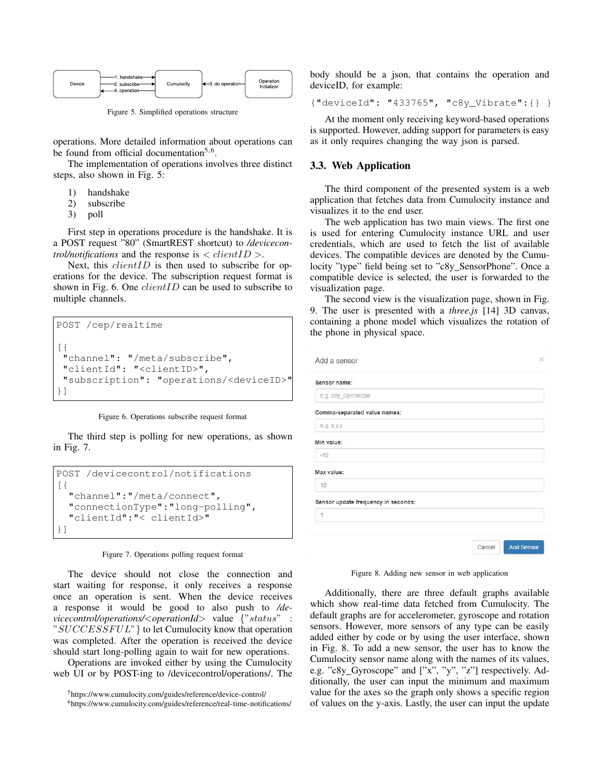

Figure 5. Simplified operations structure

operations. More detailed information about operations can be found from official documentation<sup>5,6</sup>.

The implementation of operations involves three distinct steps, also shown in Fig. 5:

- 1) handshake
- 2) subscribe
- 3) poll

First step in operations procedure is the handshake. It is a POST request "80" (SmartREST shortcut) to */devicecontrol/notifications* and the response is  $\langle$  *clientID*  $\rangle$ .

Next, this *clientID* is then used to subscribe for operations for the device. The subscription request format is shown in Fig. 6. One *clientID* can be used to subscribe to multiple channels.

POST /cep/realtime [{ "channel": "/meta/subscribe", "clientId": "<clientID>", "subscription": "operations/<deviceID>" }]



The third step is polling for new operations, as shown in Fig. 7.

```
POST /devicecontrol/notifications
[{
  "channel":"/meta/connect",
  "connectionType":"long-polling",
  "clientId":"< clientId>"
}]
```
#### Figure 7. Operations polling request format

The device should not close the connection and start waiting for response, it only receives a response once an operation is sent. When the device receives a response it would be good to also push to */devicecontrol/operations/*<*operationId*> value {"status" : " $SUCCESFUL$ " } to let Cumulocity know that operation was completed. After the operation is received the device should start long-polling again to wait for new operations.

Operations are invoked either by using the Cumulocity web UI or by POST-ing to /devicecontrol/operations/. The body should be a json, that contains the operation and deviceID, for example:

```
{"deviceId": "433765", "c8y_Vibrate":{} }
```
At the moment only receiving keyword-based operations is supported. However, adding support for parameters is easy as it only requires changing the way json is parsed.

#### 3.3. Web Application

The third component of the presented system is a web application that fetches data from Cumulocity instance and visualizes it to the end user.

The web application has two main views. The first one is used for entering Cumulocity instance URL and user credentials, which are used to fetch the list of available devices. The compatible devices are denoted by the Cumulocity "type" field being set to "c8y SensorPhone". Once a compatible device is selected, the user is forwarded to the visualization page.

The second view is the visualization page, shown in Fig. 9. The user is presented with a *three.js* [14] 3D canvas, containing a phone model which visualizes the rotation of the phone in physical space.

| Add a sensor                        |        | ×                 |
|-------------------------------------|--------|-------------------|
| Sensor name:                        |        |                   |
| e.g. c8y_Gyroscope                  |        |                   |
| Comma-separated value names:        |        |                   |
| e.g. x,y,z                          |        |                   |
| Min value:                          |        |                   |
| $-10$                               |        |                   |
| Max value:                          |        |                   |
| 10                                  |        |                   |
| Sensor update frequency in seconds: |        |                   |
| 1                                   |        |                   |
|                                     |        |                   |
|                                     | Cancel | <b>Add Sensor</b> |

Figure 8. Adding new sensor in web application

Additionally, there are three default graphs available which show real-time data fetched from Cumulocity. The default graphs are for accelerometer, gyroscope and rotation sensors. However, more sensors of any type can be easily added either by code or by using the user interface, shown in Fig. 8. To add a new sensor, the user has to know the Cumulocity sensor name along with the names of its values, e.g. "c8y\_Gyroscope" and ["x", "y", "z"] respectively. Additionally, the user can input the minimum and maximum value for the axes so the graph only shows a specific region of values on the y-axis. Lastly, the user can input the update

<sup>5</sup>https://www.cumulocity.com/guides/reference/device-control/

<sup>6</sup>https://www.cumulocity.com/guides/reference/real-time-notifications/